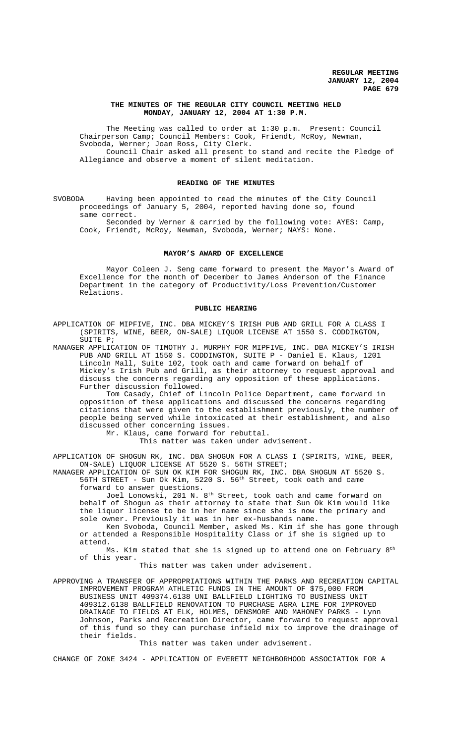# **THE MINUTES OF THE REGULAR CITY COUNCIL MEETING HELD MONDAY, JANUARY 12, 2004 AT 1:30 P.M.**

The Meeting was called to order at 1:30 p.m. Present: Council Chairperson Camp; Council Members: Cook, Friendt, McRoy, Newman, Svoboda, Werner; Joan Ross, City Clerk. Council Chair asked all present to stand and recite the Pledge of

Allegiance and observe a moment of silent meditation.

### **READING OF THE MINUTES**

SVOBODA Having been appointed to read the minutes of the City Council proceedings of January 5, 2004, reported having done so, found same correct.

Seconded by Werner & carried by the following vote: AYES: Camp, Cook, Friendt, McRoy, Newman, Svoboda, Werner; NAYS: None.

### **MAYOR'S AWARD OF EXCELLENCE**

Mayor Coleen J. Seng came forward to present the Mayor's Award of Excellence for the month of December to James Anderson of the Finance Department in the category of Productivity/Loss Prevention/Customer Relations.

#### **PUBLIC HEARING**

APPLICATION OF MIPFIVE, INC. DBA MICKEY'S IRISH PUB AND GRILL FOR A CLASS I (SPIRITS, WINE, BEER, ON-SALE) LIQUOR LICENSE AT 1550 S. CODDINGTON, SUITE P;

MANAGER APPLICATION OF TIMOTHY J. MURPHY FOR MIPFIVE, INC. DBA MICKEY'S IRISH PUB AND GRILL AT 1550 S. CODDINGTON, SUITE P - Daniel E. Klaus, 1201 Lincoln Mall, Suite 102, took oath and came forward on behalf of Mickey's Irish Pub and Grill, as their attorney to request approval and discuss the concerns regarding any opposition of these applications. Further discussion followed.

Tom Casady, Chief of Lincoln Police Department, came forward in opposition of these applications and discussed the concerns regarding citations that were given to the establishment previously, the number of people being served while intoxicated at their establishment, and also discussed other concerning issues.

Mr. Klaus, came forward for rebuttal.

This matter was taken under advisement.

APPLICATION OF SHOGUN RK, INC. DBA SHOGUN FOR A CLASS I (SPIRITS, WINE, BEER, ON-SALE) LIQUOR LICENSE AT 5520 S. 56TH STREET;

MANAGER APPLICATION OF SUN OK KIM FOR SHOGUN RK, INC. DBA SHOGUN AT 5520 S. 56TH STREET - Sun Ok Kim, 5220 S. 56th Street, took oath and came forward to answer questions.

Joel Lonowski, 201 N. 8<sup>th</sup> Street, took oath and came forward on behalf of Shogun as their attorney to state that Sun Ok Kim would like the liquor license to be in her name since she is now the primary and sole owner. Previously it was in her ex-husbands name.

Ken Svoboda, Council Member, asked Ms. Kim if she has gone through or attended a Responsible Hospitality Class or if she is signed up to attend.

Ms. Kim stated that she is signed up to attend one on February 8<sup>th</sup> of this year.

This matter was taken under advisement.

APPROVING A TRANSFER OF APPROPRIATIONS WITHIN THE PARKS AND RECREATION CAPITAL IMPROVEMENT PROGRAM ATHLETIC FUNDS IN THE AMOUNT OF \$75,000 FROM BUSINESS UNIT 409374.6138 UNI BALLFIELD LIGHTING TO BUSINESS UNIT 409312.6138 BALLFIELD RENOVATION TO PURCHASE AGRA LIME FOR IMPROVED DRAINAGE TO FIELDS AT ELK, HOLMES, DENSMORE AND MAHONEY PARKS - Lynn Johnson, Parks and Recreation Director, came forward to request approval of this fund so they can purchase infield mix to improve the drainage of their fields.

This matter was taken under advisement.

CHANGE OF ZONE 3424 - APPLICATION OF EVERETT NEIGHBORHOOD ASSOCIATION FOR A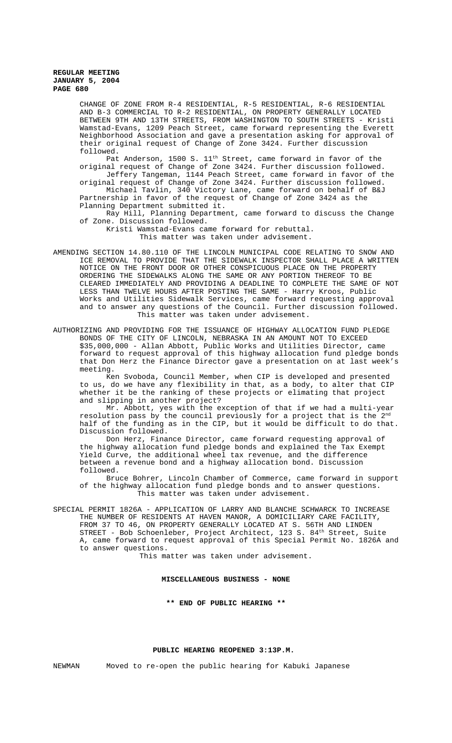CHANGE OF ZONE FROM R-4 RESIDENTIAL, R-5 RESIDENTIAL, R-6 RESIDENTIAL AND B-3 COMMERCIAL TO R-2 RESIDENTIAL, ON PROPERTY GENERALLY LOCATED BETWEEN 9TH AND 13TH STREETS, FROM WASHINGTON TO SOUTH STREETS - Kristi Wamstad-Evans, 1209 Peach Street, came forward representing the Everett Neighborhood Association and gave a presentation asking for approval of their original request of Change of Zone 3424. Further discussion followed.

Pat Anderson, 1500 S. 11th Street, came forward in favor of the original request of Change of Zone 3424. Further discussion followed. Jeffery Tangeman, 1144 Peach Street, came forward in favor of the

original request of Change of Zone 3424. Further discussion followed. Michael Tavlin, 340 Victory Lane, came forward on behalf of B&J Partnership in favor of the request of Change of Zone 3424 as the Planning Department submitted it.

Ray Hill, Planning Department, came forward to discuss the Change of Zone. Discussion followed.

Kristi Wamstad-Evans came forward for rebuttal. This matter was taken under advisement.

- AMENDING SECTION 14.80.110 OF THE LINCOLN MUNICIPAL CODE RELATING TO SNOW AND ICE REMOVAL TO PROVIDE THAT THE SIDEWALK INSPECTOR SHALL PLACE A WRITTEN NOTICE ON THE FRONT DOOR OR OTHER CONSPICUOUS PLACE ON THE PROPERTY ORDERING THE SIDEWALKS ALONG THE SAME OR ANY PORTION THEREOF TO BE CLEARED IMMEDIATELY AND PROVIDING A DEADLINE TO COMPLETE THE SAME OF NOT LESS THAN TWELVE HOURS AFTER POSTING THE SAME - Harry Kroos, Public Works and Utilities Sidewalk Services, came forward requesting approval and to answer any questions of the Council. Further discussion followed. This matter was taken under advisement.
- AUTHORIZING AND PROVIDING FOR THE ISSUANCE OF HIGHWAY ALLOCATION FUND PLEDGE BONDS OF THE CITY OF LINCOLN, NEBRASKA IN AN AMOUNT NOT TO EXCEED \$35,000,000 - Allan Abbott, Public Works and Utilities Director, came forward to request approval of this highway allocation fund pledge bonds that Don Herz the Finance Director gave a presentation on at last week's meeting.

Ken Svoboda, Council Member, when CIP is developed and presented to us, do we have any flexibility in that, as a body, to alter that CIP whether it be the ranking of these projects or elimating that project and slipping in another project?

Mr. Abbott, yes with the exception of that if we had a multi-year resolution pass by the council previously for a project that is the  $2^{\text{nd}}$ half of the funding as in the CIP, but it would be difficult to do that. Discussion followed.

Don Herz, Finance Director, came forward requesting approval of the highway allocation fund pledge bonds and explained the Tax Exempt Yield Curve, the additional wheel tax revenue, and the difference between a revenue bond and a highway allocation bond. Discussion followed.

Bruce Bohrer, Lincoln Chamber of Commerce, came forward in support of the highway allocation fund pledge bonds and to answer questions. This matter was taken under advisement.

SPECIAL PERMIT 1826A - APPLICATION OF LARRY AND BLANCHE SCHWARCK TO INCREASE THE NUMBER OF RESIDENTS AT HAVEN MANOR, A DOMICILIARY CARE FACILITY, FROM 37 TO 46, ON PROPERTY GENERALLY LOCATED AT S. 56TH AND LINDEN STREET - Bob Schoenleber, Project Architect, 123 S.  $84^{\text{th}}$  Street, Suite A, came forward to request approval of this Special Permit No. 1826A and to answer questions.

This matter was taken under advisement.

# **MISCELLANEOUS BUSINESS - NONE**

**\*\* END OF PUBLIC HEARING \*\***

#### **PUBLIC HEARING REOPENED 3:13P.M.**

NEWMAN Moved to re-open the public hearing for Kabuki Japanese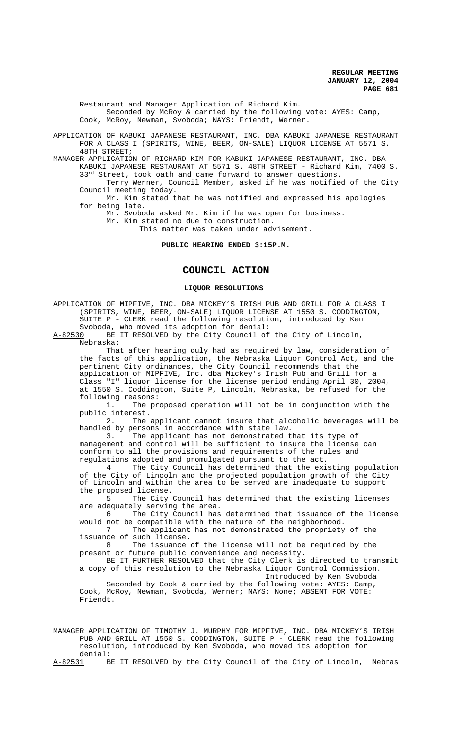Restaurant and Manager Application of Richard Kim. Seconded by McRoy & carried by the following vote: AYES: Camp, Cook, McRoy, Newman, Svoboda; NAYS: Friendt, Werner.

APPLICATION OF KABUKI JAPANESE RESTAURANT, INC. DBA KABUKI JAPANESE RESTAURANT FOR A CLASS I (SPIRITS, WINE, BEER, ON-SALE) LIQUOR LICENSE AT 5571 S. 48TH STREET;

MANAGER APPLICATION OF RICHARD KIM FOR KABUKI JAPANESE RESTAURANT, INC. DBA KABUKI JAPANESE RESTAURANT AT 5571 S. 48TH STREET - Richard Kim, 7400 S.

 $33^{rd}$  Street, took oath and came forward to answer questions. Terry Werner, Council Member, asked if he was notified of the City Council meeting today.

Mr. Kim stated that he was notified and expressed his apologies for being late.

Mr. Svoboda asked Mr. Kim if he was open for business.

Mr. Kim stated no due to construction.

This matter was taken under advisement.

**PUBLIC HEARING ENDED 3:15P.M.**

# **COUNCIL ACTION**

#### **LIQUOR RESOLUTIONS**

APPLICATION OF MIPFIVE, INC. DBA MICKEY'S IRISH PUB AND GRILL FOR A CLASS I (SPIRITS, WINE, BEER, ON-SALE) LIQUOR LICENSE AT 1550 S. CODDINGTON, SUITE P - CLERK read the following resolution, introduced by Ken Svoboda, who moved its adoption for denial:<br>A-82530 BE IT RESOLVED by the City Council of

A-8253 BE IT RESOLVED by the City Council of the City of Lincoln, Nebraska:

That after hearing duly had as required by law, consideration of the facts of this application, the Nebraska Liquor Control Act, and the pertinent City ordinances, the City Council recommends that the application of MIPFIVE, Inc. dba Mickey's Irish Pub and Grill for a Class "I" liquor license for the license period ending April 30, 2004, at 1550 S. Coddington, Suite P, Lincoln, Nebraska, be refused for the following reasons:

1. The proposed operation will not be in conjunction with the public interest.<br>2. The

The applicant cannot insure that alcoholic beverages will be handled by persons in accordance with state law.

3. The applicant has not demonstrated that its type of management and control will be sufficient to insure the license can conform to all the provisions and requirements of the rules and regulations adopted and promulgated pursuant to the act.

4 The City Council has determined that the existing population of the City of Lincoln and the projected population growth of the City of Lincoln and within the area to be served are inadequate to support the proposed license.<br>5 The City

The City Council has determined that the existing licenses are adequately serving the area.

6 The City Council has determined that issuance of the license would not be compatible with the nature of the neighborhood.

7 The applicant has not demonstrated the propriety of the issuance of such license.

8 The issuance of the license will not be required by the present or future public convenience and necessity.

BE IT FURTHER RESOLVED that the City Clerk is directed to transmit a copy of this resolution to the Nebraska Liquor Control Commission. Introduced by Ken Svoboda

Seconded by Cook & carried by the following vote: AYES: Camp, Cook, McRoy, Newman, Svoboda, Werner; NAYS: None; ABSENT FOR VOTE: Friendt.

MANAGER APPLICATION OF TIMOTHY J. MURPHY FOR MIPFIVE, INC. DBA MICKEY'S IRISH PUB AND GRILL AT 1550 S. CODDINGTON, SUITE P - CLERK read the following resolution, introduced by Ken Svoboda, who moved its adoption for denial:

A-82531 BE IT RESOLVED by the City Council of the City of Lincoln, Nebras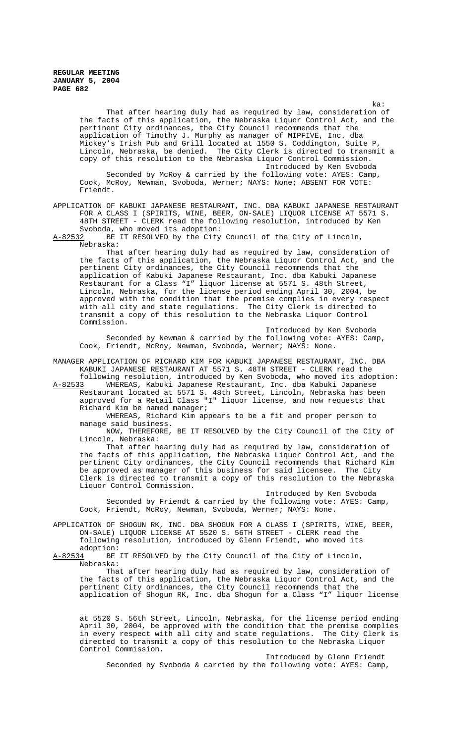> ka: That after hearing duly had as required by law, consideration of the facts of this application, the Nebraska Liquor Control Act, and the pertinent City ordinances, the City Council recommends that the application of Timothy J. Murphy as manager of MIPFIVE, Inc. dba Mickey's Irish Pub and Grill located at 1550 S. Coddington, Suite P, Lincoln, Nebraska, be denied. The City Clerk is directed to transmit a copy of this resolution to the Nebraska Liquor Control Commission. Introduced by Ken Svoboda Seconded by McRoy & carried by the following vote: AYES: Camp,

Cook, McRoy, Newman, Svoboda, Werner; NAYS: None; ABSENT FOR VOTE: Friendt.

### APPLICATION OF KABUKI JAPANESE RESTAURANT, INC. DBA KABUKI JAPANESE RESTAURANT FOR A CLASS I (SPIRITS, WINE, BEER, ON-SALE) LIQUOR LICENSE AT 5571 S. 48TH STREET - CLERK read the following resolution, introduced by Ken Svoboda, who moved its adoption:

A-82532 BE IT RESOLVED by the City Council of the City of Lincoln, Nebraska:

That after hearing duly had as required by law, consideration of the facts of this application, the Nebraska Liquor Control Act, and the pertinent City ordinances, the City Council recommends that the application of Kabuki Japanese Restaurant, Inc. dba Kabuki Japanese Restaurant for a Class "I" liquor license at 5571 S. 48th Street, Lincoln, Nebraska, for the license period ending April 30, 2004, be approved with the condition that the premise complies in every respect with all city and state regulations. The City Clerk is directed to transmit a copy of this resolution to the Nebraska Liquor Control Commission.

Introduced by Ken Svoboda Seconded by Newman & carried by the following vote: AYES: Camp, Cook, Friendt, McRoy, Newman, Svoboda, Werner; NAYS: None.

MANAGER APPLICATION OF RICHARD KIM FOR KABUKI JAPANESE RESTAURANT, INC. DBA KABUKI JAPANESE RESTAURANT AT 5571 S. 48TH STREET - CLERK read the following resolution, introduced by Ken Svoboda, who moved its adoption:

A-82533 WHEREAS, Kabuki Japanese Restaurant, Inc. dba Kabuki Japanese Restaurant located at 5571 S. 48th Street, Lincoln, Nebraska has been approved for a Retail Class "I" liquor license, and now requests that Richard Kim be named manager;

WHEREAS, Richard Kim appears to be a fit and proper person to manage said business.

NOW, THEREFORE, BE IT RESOLVED by the City Council of the City of Lincoln, Nebraska:

That after hearing duly had as required by law, consideration of the facts of this application, the Nebraska Liquor Control Act, and the pertinent City ordinances, the City Council recommends that Richard Kim be approved as manager of this business for said licensee. The City Clerk is directed to transmit a copy of this resolution to the Nebraska Liquor Control Commission.

Introduced by Ken Svoboda Seconded by Friendt & carried by the following vote: AYES: Camp, Cook, Friendt, McRoy, Newman, Svoboda, Werner; NAYS: None.

APPLICATION OF SHOGUN RK, INC. DBA SHOGUN FOR A CLASS I (SPIRITS, WINE, BEER, ON-SALE) LIQUOR LICENSE AT 5520 S. 56TH STREET - CLERK read the following resolution, introduced by Glenn Friendt, who moved its

adoption:<br>A-82534 BE BE IT RESOLVED by the City Council of the City of Lincoln, Nebraska:

That after hearing duly had as required by law, consideration of the facts of this application, the Nebraska Liquor Control Act, and the pertinent City ordinances, the City Council recommends that the application of Shogun RK, Inc. dba Shogun for a Class "I" liquor license

at 5520 S. 56th Street, Lincoln, Nebraska, for the license period ending April 30, 2004, be approved with the condition that the premise complies in every respect with all city and state regulations. The City Clerk is directed to transmit a copy of this resolution to the Nebraska Liquor Control Commission.

Introduced by Glenn Friendt Seconded by Svoboda & carried by the following vote: AYES: Camp,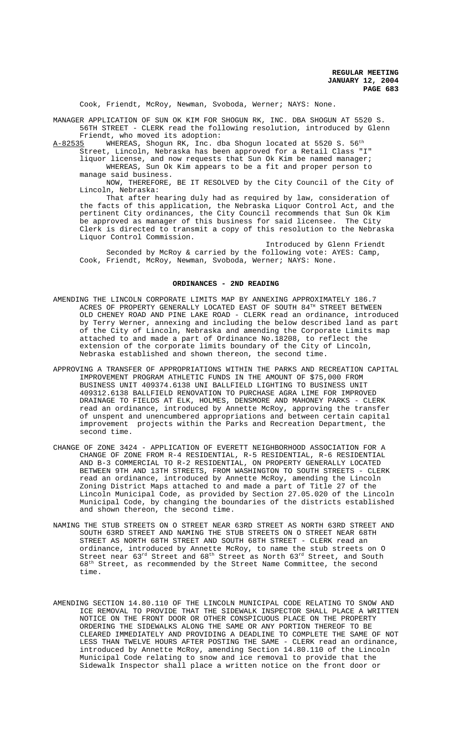Cook, Friendt, McRoy, Newman, Svoboda, Werner; NAYS: None.

MANAGER APPLICATION OF SUN OK KIM FOR SHOGUN RK, INC. DBA SHOGUN AT 5520 S. 56TH STREET - CLERK read the following resolution, introduced by Glenn Friendt, who moved its adoption:

 ${\tt A\text{-}82535}$  WHEREAS, Shogun RK, Inc. dba Shogun located at 5520 S. 56th

Street, Lincoln, Nebraska has been approved for a Retail Class "I" liquor license, and now requests that Sun Ok Kim be named manager; WHEREAS, Sun Ok Kim appears to be a fit and proper person to

manage said business.

NOW, THEREFORE, BE IT RESOLVED by the City Council of the City of Lincoln, Nebraska:

That after hearing duly had as required by law, consideration of the facts of this application, the Nebraska Liquor Control Act, and the pertinent City ordinances, the City Council recommends that Sun Ok Kim be approved as manager of this business for said licensee. The City Clerk is directed to transmit a copy of this resolution to the Nebraska Liquor Control Commission.

Introduced by Glenn Friendt Seconded by McRoy & carried by the following vote: AYES: Camp, Cook, Friendt, McRoy, Newman, Svoboda, Werner; NAYS: None.

#### **ORDINANCES - 2ND READING**

- AMENDING THE LINCOLN CORPORATE LIMITS MAP BY ANNEXING APPROXIMATELY 186.7 ACRES OF PROPERTY GENERALLY LOCATED EAST OF SOUTH  $84<sup>TH</sup>$  STREET BETWEEN OLD CHENEY ROAD AND PINE LAKE ROAD - CLERK read an ordinance, introduced by Terry Werner, annexing and including the below described land as part of the City of Lincoln, Nebraska and amending the Corporate Limits map attached to and made a part of Ordinance No.18208, to reflect the extension of the corporate limits boundary of the City of Lincoln, Nebraska established and shown thereon, the second time.
- APPROVING A TRANSFER OF APPROPRIATIONS WITHIN THE PARKS AND RECREATION CAPITAL IMPROVEMENT PROGRAM ATHLETIC FUNDS IN THE AMOUNT OF \$75,000 FROM BUSINESS UNIT 409374.6138 UNI BALLFIELD LIGHTING TO BUSINESS UNIT 409312.6138 BALLFIELD RENOVATION TO PURCHASE AGRA LIME FOR IMPROVED DRAINAGE TO FIELDS AT ELK, HOLMES, DENSMORE AND MAHONEY PARKS - CLERK read an ordinance, introduced by Annette McRoy, approving the transfer of unspent and unencumbered appropriations and between certain capital improvement projects within the Parks and Recreation Department, the second time.
- CHANGE OF ZONE 3424 APPLICATION OF EVERETT NEIGHBORHOOD ASSOCIATION FOR A CHANGE OF ZONE FROM R-4 RESIDENTIAL, R-5 RESIDENTIAL, R-6 RESIDENTIAL AND B-3 COMMERCIAL TO R-2 RESIDENTIAL, ON PROPERTY GENERALLY LOCATED BETWEEN 9TH AND 13TH STREETS, FROM WASHINGTON TO SOUTH STREETS - CLERK read an ordinance, introduced by Annette McRoy, amending the Lincoln Zoning District Maps attached to and made a part of Title 27 of the Lincoln Municipal Code, as provided by Section 27.05.020 of the Lincoln Municipal Code, by changing the boundaries of the districts established and shown thereon, the second time.
- NAMING THE STUB STREETS ON O STREET NEAR 63RD STREET AS NORTH 63RD STREET AND SOUTH 63RD STREET AND NAMING THE STUB STREETS ON O STREET NEAR 68TH STREET AS NORTH 68TH STREET AND SOUTH 68TH STREET - CLERK read an ordinance, introduced by Annette McRoy, to name the stub streets on O Street near  $63^{\text{rd}}$  Street and  $68^{\text{th}}$  Street as North  $63^{\text{rd}}$  Street, and South 68th Street, as recommended by the Street Name Committee, the second time.
- AMENDING SECTION 14.80.110 OF THE LINCOLN MUNICIPAL CODE RELATING TO SNOW AND ICE REMOVAL TO PROVIDE THAT THE SIDEWALK INSPECTOR SHALL PLACE A WRITTEN NOTICE ON THE FRONT DOOR OR OTHER CONSPICUOUS PLACE ON THE PROPERTY ORDERING THE SIDEWALKS ALONG THE SAME OR ANY PORTION THEREOF TO BE CLEARED IMMEDIATELY AND PROVIDING A DEADLINE TO COMPLETE THE SAME OF NOT LESS THAN TWELVE HOURS AFTER POSTING THE SAME - CLERK read an ordinance, introduced by Annette McRoy, amending Section 14.80.110 of the Lincoln Municipal Code relating to snow and ice removal to provide that the Sidewalk Inspector shall place a written notice on the front door or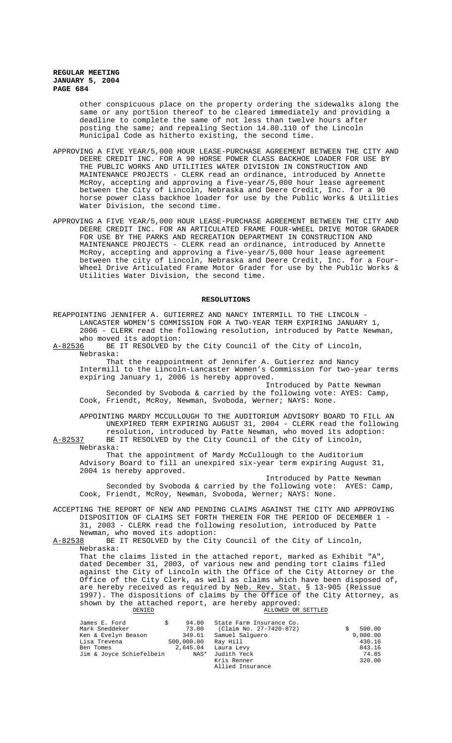other conspicuous place on the property ordering the sidewalks along the same or any port5ion thereof to be cleared immediately and providing a deadline to complete the same of not less than twelve hours after posting the same; and repealing Section 14.80.110 of the Lincoln Municipal Code as hitherto existing, the second time.

- APPROVING A FIVE YEAR/5,000 HOUR LEASE-PURCHASE AGREEMENT BETWEEN THE CITY AND DEERE CREDIT INC. FOR A 90 HORSE POWER CLASS BACKHOE LOADER FOR USE BY THE PUBLIC WORKS AND UTILITIES WATER DIVISION IN CONSTRUCTION AND MAINTENANCE PROJECTS - CLERK read an ordinance, introduced by Annette McRoy, accepting and approving a five-year/5,000 hour lease agreement between the City of Lincoln, Nebraska and Deere Credit, Inc. for a 90 horse power class backhoe loader for use by the Public Works & Utilities Water Division, the second time.
- APPROVING A FIVE YEAR/5,000 HOUR LEASE-PURCHASE AGREEMENT BETWEEN THE CITY AND DEERE CREDIT INC. FOR AN ARTICULATED FRAME FOUR-WHEEL DRIVE MOTOR GRADER FOR USE BY THE PARKS AND RECREATION DEPARTMENT IN CONSTRUCTION AND MAINTENANCE PROJECTS - CLERK read an ordinance, introduced by Annette McRoy, accepting and approving a five-year/5,000 hour lease agreement between the city of Lincoln, Nebraska and Deere Credit, Inc. for a Four-Wheel Drive Articulated Frame Motor Grader for use by the Public Works & Utilities Water Division, the second time.

#### **RESOLUTIONS**

REAPPOINTING JENNIFER A. GUTIERREZ AND NANCY INTERMILL TO THE LINCOLN - LANCASTER WOMEN'S COMMISSION FOR A TWO-YEAR TERM EXPIRING JANUARY 1, 2006 - CLERK read the following resolution, introduced by Patte Newman, who moved its adoption: A-82536 BE IT RESOLVED by the City Council of the City of Lincoln, Nebraska: That the reappointment of Jennifer A. Gutierrez and Nancy Intermill to the Lincoln-Lancaster Women's Commission for two-year terms expiring January 1, 2006 is hereby approved. Introduced by Patte Newman Seconded by Svoboda & carried by the following vote: AYES: Camp, Cook, Friendt, McRoy, Newman, Svoboda, Werner; NAYS: None. APPOINTING MARDY MCCULLOUGH TO THE AUDITORIUM ADVISORY BOARD TO FILL AN UNEXPIRED TERM EXPIRING AUGUST 31, 2004 - CLERK read the following resolution, introduced by Patte Newman, who moved its adoption: A-82537 BE IT RESOLVED by the City Council of the City of Lincoln, Nebraska: That the appointment of Mardy McCullough to the Auditorium Advisory Board to fill an unexpired six-year term expiring August 31, 2004 is hereby approved. Introduced by Patte Newman Seconded by Svoboda & carried by the following vote: AYES: Camp, Cook, Friendt, McRoy, Newman, Svoboda, Werner; NAYS: None. ACCEPTING THE REPORT OF NEW AND PENDING CLAIMS AGAINST THE CITY AND APPROVING DISPOSITION OF CLAIMS SET FORTH THEREIN FOR THE PERIOD OF DECEMBER 1 - 31, 2003 - CLERK read the following resolution, introduced by Patte Newman, who moved its adoption: A-82538 BE IT RESOLVED by the City Council of the City of Lincoln, Nebraska: That the claims listed in the attached report, marked as Exhibit "A" dated December 31, 2003, of various new and pending tort claims filed against the City of Lincoln with the Office of the City Attorney or the Office of the City Clerk, as well as claims which have been disposed of, are hereby received as required by Neb. Rev. Stat. § 13-905 (Reissue 1997). The dispositions of claims by the Office of the City Attorney, as shown by the attached report, are hereby approved: ALLOWED OR SETTLED James E. Ford  $$94.00$  State Farm Insurance Co.<br>Mark Sneddeker 73.00 (Claim No. 27-7420-872) 73.00 (Claim No. 27-7420-872) \$ 500.00<br>349.61 Samuel Salguero 9,000.00<br>500,000.00 Ray Hill 430.16 Ken & Evelyn Beason<br>Lisa Trevena 349.61 Samuel Salguero<br>
2,000.00 Ray Hill 430.16<br>
2,645.04 Laura Levy 843.16 Ben Tomes 2,645.04 Laura Levy 843.16<br>dim & Joyce Schiefelbein NAS\* Judith Yeck 74.85 Jim & Joyce Schiefelbein NAS\* Judith Yeck 74.85

Kris Renner Allied Insurance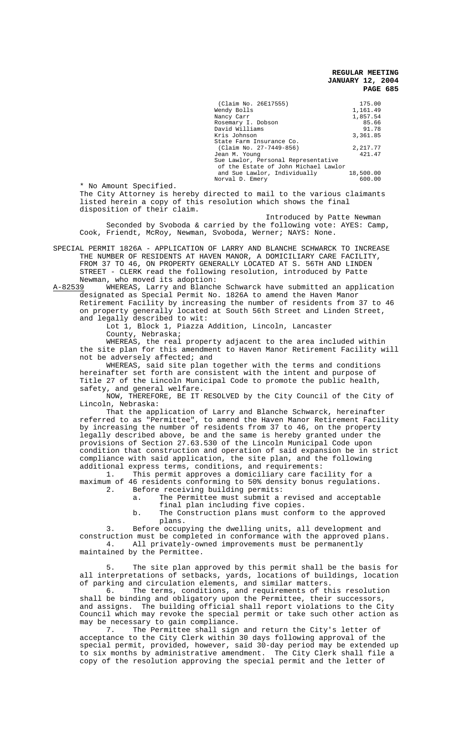\* No Amount Specified. The City Attorney is hereby directed to mail to the various claimants listed herein a copy of this resolution which shows the final disposition of their claim.

Introduced by Patte Newman Seconded by Svoboda & carried by the following vote: AYES: Camp, Cook, Friendt, McRoy, Newman, Svoboda, Werner; NAYS: None.

SPECIAL PERMIT 1826A - APPLICATION OF LARRY AND BLANCHE SCHWARCK TO INCREASE THE NUMBER OF RESIDENTS AT HAVEN MANOR, A DOMICILIARY CARE FACILITY, FROM 37 TO 46, ON PROPERTY GENERALLY LOCATED AT S. 56TH AND LINDEN STREET - CLERK read the following resolution, introduced by Patte Newman, who moved its adoption:<br>A-82539 WHEREAS, Larry and Blanch

WHEREAS, Larry and Blanche Schwarck have submitted an application designated as Special Permit No. 1826A to amend the Haven Manor Retirement Facility by increasing the number of residents from 37 to 46 on property generally located at South 56th Street and Linden Street, and legally described to wit:

Lot 1, Block 1, Piazza Addition, Lincoln, Lancaster County, Nebraska;

WHEREAS, the real property adjacent to the area included within the site plan for this amendment to Haven Manor Retirement Facility will not be adversely affected; and

WHEREAS, said site plan together with the terms and conditions hereinafter set forth are consistent with the intent and purpose of Title 27 of the Lincoln Municipal Code to promote the public health, safety, and general welfare.

NOW, THEREFORE, BE IT RESOLVED by the City Council of the City of Lincoln, Nebraska:

That the application of Larry and Blanche Schwarck, hereinafter referred to as "Permittee", to amend the Haven Manor Retirement Facility by increasing the number of residents from 37 to 46, on the property legally described above, be and the same is hereby granted under the provisions of Section 27.63.530 of the Lincoln Municipal Code upon condition that construction and operation of said expansion be in strict compliance with said application, the site plan, and the following additional express terms, conditions, and requirements:

1. This permit approves a domiciliary care facility for a maximum of 46 residents conforming to 50% density bonus regulations.

- 2. Before receiving building permits:<br>a. The Permittee must submit a: The Permittee must submit a revised and acceptable final plan including five copies.
	- b. The Construction plans must conform to the approved plans.

3. Before occupying the dwelling units, all development and construction must be completed in conformance with the approved plans. 4. All privately-owned improvements must be permanently maintained by the Permittee.

The site plan approved by this permit shall be the basis for all interpretations of setbacks, yards, locations of buildings, location

of parking and circulation elements, and similar matters.<br>6. The terms, conditions, and requirements of th The terms, conditions, and requirements of this resolution shall be binding and obligatory upon the Permittee, their successors and assigns. The building official shall report violations to the City Council which may revoke the special permit or take such other action as may be necessary to gain compliance.

7. The Permittee shall sign and return the City's letter of acceptance to the City Clerk within 30 days following approval of the special permit, provided, however, said 30-day period may be extended up to six months by administrative amendment. The City Clerk shall file a copy of the resolution approving the special permit and the letter of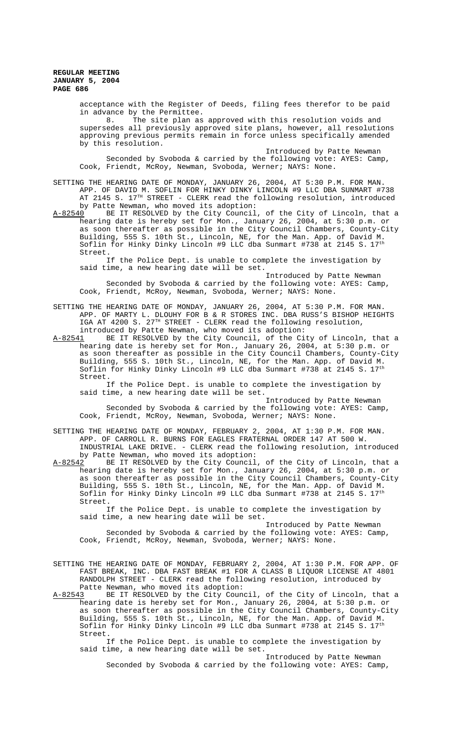> acceptance with the Register of Deeds, filing fees therefor to be paid in advance by the Permittee.

8. The site plan as approved with this resolution voids and supersedes all previously approved site plans, however, all resolutions approving previous permits remain in force unless specifically amended by this resolution.

Introduced by Patte Newman Seconded by Svoboda & carried by the following vote: AYES: Camp, Cook, Friendt, McRoy, Newman, Svoboda, Werner; NAYS: None.

SETTING THE HEARING DATE OF MONDAY, JANUARY 26, 2004, AT 5:30 P.M. FOR MAN. APP. OF DAVID M. SOFLIN FOR HINKY DINKY LINCOLN #9 LLC DBA SUNMART #738 AT 2145 S. 17<sup>TH</sup> STREET - CLERK read the following resolution, introduced by Patte Newman, who moved its adoption:

A-82540 BE IT RESOLVED by the City Council, of the City of Lincoln, that a hearing date is hereby set for Mon., January 26, 2004, at 5:30 p.m. or as soon thereafter as possible in the City Council Chambers, County-City Building, 555 S. 10th St., Lincoln, NE, for the Man. App. of David M. Soflin for Hinky Dinky Lincoln #9 LLC dba Sunmart #738 at 2145 S. 17th Street.

If the Police Dept. is unable to complete the investigation by said time, a new hearing date will be set.

Introduced by Patte Newman Seconded by Svoboda & carried by the following vote: AYES: Camp, Cook, Friendt, McRoy, Newman, Svoboda, Werner; NAYS: None.

SETTING THE HEARING DATE OF MONDAY, JANUARY 26, 2004, AT 5:30 P.M. FOR MAN. APP. OF MARTY L. DLOUHY FOR B & R STORES INC. DBA RUSS'S BISHOP HEIGHTS IGA AT 4200 S. 27TH STREET - CLERK read the following resolution, introduced by Patte Newman, who moved its adoption:

A-82541 BE IT RESOLVED by the City Council, of the City of Lincoln, that a hearing date is hereby set for Mon., January 26, 2004, at 5:30 p.m. or as soon thereafter as possible in the City Council Chambers, County-City Building, 555 S. 10th St., Lincoln, NE, for the Man. App. of David M. Soflin for Hinky Dinky Lincoln #9 LLC dba Sunmart #738 at 2145 S. 17th Street.

If the Police Dept. is unable to complete the investigation by said time, a new hearing date will be set.

Introduced by Patte Newman Seconded by Svoboda & carried by the following vote: AYES: Camp, Cook, Friendt, McRoy, Newman, Svoboda, Werner; NAYS: None.

SETTING THE HEARING DATE OF MONDAY, FEBRUARY 2, 2004, AT 1:30 P.M. FOR MAN. APP. OF CARROLL R. BURNS FOR EAGLES FRATERNAL ORDER 147 AT 500 W. INDUSTRIAL LAKE DRIVE. - CLERK read the following resolution, introduced by Patte Newman, who moved its adoption:<br>A-82542 BE IT RESOLVED by the City Council

BE IT RESOLVED by the City Council, of the City of Lincoln, that a hearing date is hereby set for Mon., January 26, 2004, at 5:30 p.m. or as soon thereafter as possible in the City Council Chambers, County-City Building, 555 S. 10th St., Lincoln, NE, for the Man. App. of David M. Soflin for Hinky Dinky Lincoln #9 LLC dba Sunmart #738 at 2145 S.  $17^{th}$ Street.

If the Police Dept. is unable to complete the investigation by said time, a new hearing date will be set.

Introduced by Patte Newman Seconded by Svoboda & carried by the following vote: AYES: Camp, Cook, Friendt, McRoy, Newman, Svoboda, Werner; NAYS: None.

SETTING THE HEARING DATE OF MONDAY, FEBRUARY 2, 2004, AT 1:30 P.M. FOR APP. OF FAST BREAK, INC. DBA FAST BREAK #1 FOR A CLASS B LIQUOR LICENSE AT 4801 RANDOLPH STREET - CLERK read the following resolution, introduced by Patte Newman, who moved its adoption:<br>A-82543 BE IT RESOLVED by the City Coun

BE IT RESOLVED by the City Council, of the City of Lincoln, that a hearing date is hereby set for Mon., January 26, 2004, at 5:30 p.m. or as soon thereafter as possible in the City Council Chambers, County-City Building, 555 S. 10th St., Lincoln, NE, for the Man. App. of David M. Soflin for Hinky Dinky Lincoln #9 LLC dba Sunmart #738 at 2145 S. 17th Street.

If the Police Dept. is unable to complete the investigation by said time, a new hearing date will be set.

Introduced by Patte Newman Seconded by Svoboda & carried by the following vote: AYES: Camp,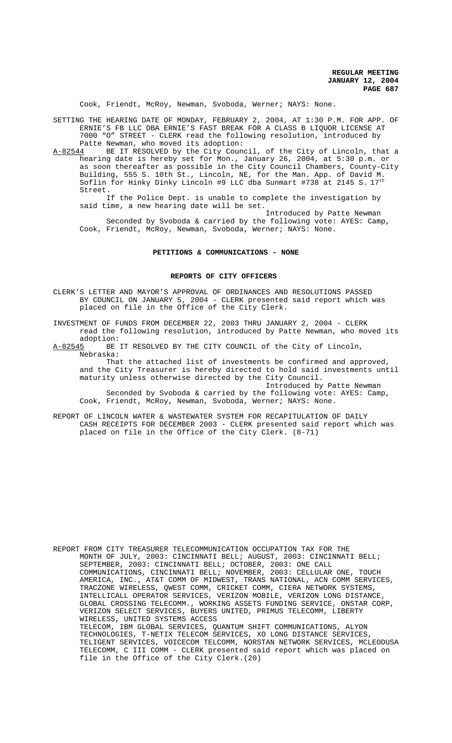Cook, Friendt, McRoy, Newman, Svoboda, Werner; NAYS: None.

SETTING THE HEARING DATE OF MONDAY, FEBRUARY 2, 2004, AT 1:30 P.M. FOR APP. OF ERNIE'S FB LLC DBA ERNIE'S FAST BREAK FOR A CLASS B LIQUOR LICENSE AT 7000 "O" STREET - CLERK read the following resolution, introduced by Patte Newman, who moved its adoption:

A-82544 BE IT RESOLVED by the City Council, of the City of Lincoln, that a hearing date is hereby set for Mon., January 26, 2004, at 5:30 p.m. or as soon thereafter as possible in the City Council Chambers, County-City Building, 555 S. 10th St., Lincoln, NE, for the Man. App. of David M. Soflin for Hinky Dinky Lincoln #9 LLC dba Sunmart #738 at 2145 S.  $17<sup>th</sup>$ Street.

If the Police Dept. is unable to complete the investigation by said time, a new hearing date will be set.

Introduced by Patte Newman Seconded by Svoboda & carried by the following vote: AYES: Camp, Cook, Friendt, McRoy, Newman, Svoboda, Werner; NAYS: None.

# **PETITIONS & COMMUNICATIONS - NONE**

#### **REPORTS OF CITY OFFICERS**

CLERK'S LETTER AND MAYOR'S APPROVAL OF ORDINANCES AND RESOLUTIONS PASSED BY COUNCIL ON JANUARY 5, 2004 - CLERK presented said report which was placed on file in the Office of the City Clerk.

INVESTMENT OF FUNDS FROM DECEMBER 22, 2003 THRU JANUARY 2, 2004 - CLERK read the following resolution, introduced by Patte Newman, who moved its

adoption:<br>A-82545 BE BE IT RESOLVED BY THE CITY COUNCIL of the City of Lincoln, Nebraska:

That the attached list of investments be confirmed and approved, and the City Treasurer is hereby directed to hold said investments until maturity unless otherwise directed by the City Council.

Introduced by Patte Newman Seconded by Svoboda & carried by the following vote: AYES: Camp, Cook, Friendt, McRoy, Newman, Svoboda, Werner; NAYS: None.

REPORT OF LINCOLN WATER & WASTEWATER SYSTEM FOR RECAPITULATION OF DAILY CASH RECEIPTS FOR DECEMBER 2003 - CLERK presented said report which was placed on file in the Office of the City Clerk. (8-71)

REPORT FROM CITY TREASURER TELECOMMUNICATION OCCUPATION TAX FOR THE MONTH OF JULY, 2003: CINCINNATI BELL; AUGUST, 2003: CINCINNATI BELL; SEPTEMBER, 2003: CINCINNATI BELL; OCTOBER, 2003: ONE CALL COMMUNICATIONS, CINCINNATI BELL; NOVEMBER, 2003: CELLULAR ONE, TOUCH AMERICA, INC., AT&T COMM OF MIDWEST, TRANS NATIONAL, ACN COMM SERVICES, TRACZONE WIRELESS, QWEST COMM, CRICKET COMM, CIERA NETWORK SYSTEMS, INTELLICALL OPERATOR SERVICES, VERIZON MOBILE, VERIZON LONG DISTANCE, GLOBAL CROSSING TELECOMM., WORKING ASSETS FUNDING SERVICE, ONSTAR CORP, VERIZON SELECT SERVICES, BUYERS UNITED, PRIMUS TELECOMM, LIBERTY WIRELESS, UNITED SYSTEMS ACCESS TELECOM, IBM GLOBAL SERVICES, QUANTUM SHIFT COMMUNICATIONS, ALYON TECHNOLOGIES, T-NETIX TELECOM SERVICES, XO LONG DISTANCE SERVICES, TELIGENT SERVICES, VOICECOM TELCOMM, NORSTAN NETWORK SERVICES, MCLEODUSA TELECOMM, C III COMM - CLERK presented said report which was placed on file in the Office of the City Clerk.(20)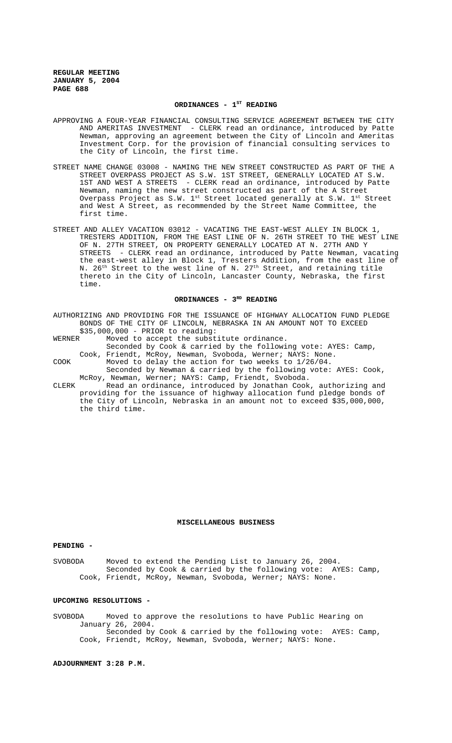### ORDINANCES - 1<sup>ST</sup> READING

- APPROVING A FOUR-YEAR FINANCIAL CONSULTING SERVICE AGREEMENT BETWEEN THE CITY AND AMERITAS INVESTMENT - CLERK read an ordinance, introduced by Patte Newman, approving an agreement between the City of Lincoln and Ameritas Investment Corp. for the provision of financial consulting services to the City of Lincoln, the first time.
- STREET NAME CHANGE 03008 NAMING THE NEW STREET CONSTRUCTED AS PART OF THE A STREET OVERPASS PROJECT AS S.W. 1ST STREET, GENERALLY LOCATED AT S.W. 1ST AND WEST A STREETS - CLERK read an ordinance, introduced by Patte Newman, naming the new street constructed as part of the A Street Overpass Project as S.W.  $1^\text{st}$  Street located generally at S.W.  $1^\text{st}$  Street and West A Street, as recommended by the Street Name Committee, the first time.
- STREET AND ALLEY VACATION 03012 VACATING THE EAST-WEST ALLEY IN BLOCK 1, TRESTERS ADDITION, FROM THE EAST LINE OF N. 26TH STREET TO THE WEST LINE OF N. 27TH STREET, ON PROPERTY GENERALLY LOCATED AT N. 27TH AND Y STREETS - CLERK read an ordinance, introduced by Patte Newman, vacating the east-west alley in Block 1, Tresters Addition, from the east line of N. 26<sup>th</sup> Street to the west line of N. 27<sup>th</sup> Street, and retaining title thereto in the City of Lincoln, Lancaster County, Nebraska, the first time.

### ORDINANCES - 3RD READING

|        |  | AUTHORIZING AND PROVIDING FOR THE ISSUANCE OF HIGHWAY ALLOCATION FUND PLEDGE |
|--------|--|------------------------------------------------------------------------------|
|        |  | BONDS OF THE CITY OF LINCOLN, NEBRASKA IN AN AMOUNT NOT TO EXCEED            |
|        |  | $$35,000,000 - PRIOR$ to reading:                                            |
| WERNER |  | Moved to accept the substitute ordinance.                                    |
|        |  | Seconded by Cook & carried by the following vote: AYES: Camp,                |
|        |  | Cook, Friendt, McRoy, Newman, Svoboda, Werner; NAYS: None.                   |
| COOK   |  | Moved to delay the action for two weeks to $1/26/04$ .                       |
|        |  | Seconded by Newman & carried by the following vote: AYES: Cook,              |
|        |  | McRoy, Newman, Werner; NAYS: Camp, Friendt, Svoboda.                         |
| CLERK  |  | Read an ordinance, introduced by Jonathan Cook, authorizing and              |
|        |  | $\mathbf{r}$                                                                 |

providing for the issuance of highway allocation fund pledge bonds of the City of Lincoln, Nebraska in an amount not to exceed \$35,000,000, the third time.

# **MISCELLANEOUS BUSINESS**

#### **PENDING -**

SVOBODA Moved to extend the Pending List to January 26, 2004. Seconded by Cook & carried by the following vote: AYES: Camp, Cook, Friendt, McRoy, Newman, Svoboda, Werner; NAYS: None.

### **UPCOMING RESOLUTIONS -**

SVOBODA Moved to approve the resolutions to have Public Hearing on January 26, 2004. Seconded by Cook & carried by the following vote: AYES: Camp, Cook, Friendt, McRoy, Newman, Svoboda, Werner; NAYS: None.

**ADJOURNMENT 3:28 P.M.**